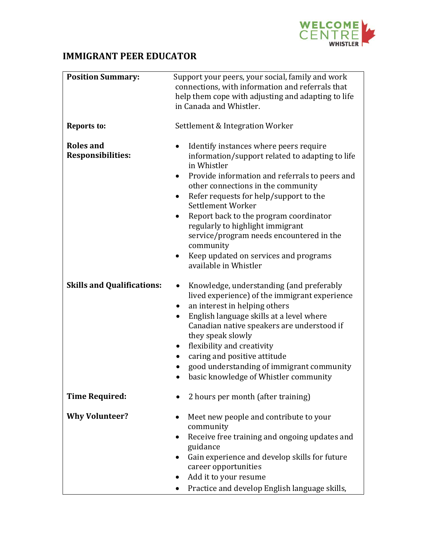

## **IMMIGRANT PEER EDUCATOR**

| <b>Position Summary:</b>                     | Support your peers, your social, family and work<br>connections, with information and referrals that<br>help them cope with adjusting and adapting to life<br>in Canada and Whistler.                                                                                                                                                                                                                                                                                                                           |
|----------------------------------------------|-----------------------------------------------------------------------------------------------------------------------------------------------------------------------------------------------------------------------------------------------------------------------------------------------------------------------------------------------------------------------------------------------------------------------------------------------------------------------------------------------------------------|
| <b>Reports to:</b>                           | Settlement & Integration Worker                                                                                                                                                                                                                                                                                                                                                                                                                                                                                 |
| <b>Roles and</b><br><b>Responsibilities:</b> | Identify instances where peers require<br>information/support related to adapting to life<br>in Whistler<br>Provide information and referrals to peers and<br>$\bullet$<br>other connections in the community<br>Refer requests for help/support to the<br>$\bullet$<br>Settlement Worker<br>Report back to the program coordinator<br>regularly to highlight immigrant<br>service/program needs encountered in the<br>community<br>Keep updated on services and programs<br>$\bullet$<br>available in Whistler |
| <b>Skills and Qualifications:</b>            | Knowledge, understanding (and preferably<br>lived experience) of the immigrant experience<br>an interest in helping others<br>$\bullet$<br>English language skills at a level where<br>Canadian native speakers are understood if<br>they speak slowly<br>flexibility and creativity<br>caring and positive attitude<br>good understanding of immigrant community<br>basic knowledge of Whistler community<br>$\bullet$                                                                                         |
| <b>Time Required:</b>                        | 2 hours per month (after training)                                                                                                                                                                                                                                                                                                                                                                                                                                                                              |
| <b>Why Volunteer?</b>                        | Meet new people and contribute to your<br>community<br>Receive free training and ongoing updates and<br>$\bullet$<br>guidance<br>Gain experience and develop skills for future<br>$\bullet$<br>career opportunities<br>Add it to your resume<br>Practice and develop English language skills,<br>$\bullet$                                                                                                                                                                                                      |